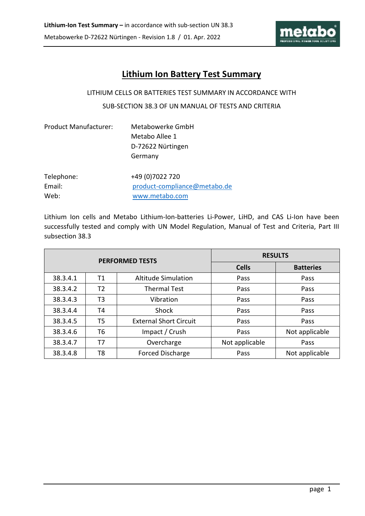

# **Lithium Ion Battery Test Summary**

#### LITHIUM CELLS OR BATTERIES TEST SUMMARY IN ACCORDANCE WITH

#### SUB-SECTION 38.3 OF UN MANUAL OF TESTS AND CRITERIA

| <b>Product Manufacturer:</b> | Metabowerke GmbH<br>Metabo Allee 1<br>D-72622 Nürtingen<br>Germany |
|------------------------------|--------------------------------------------------------------------|
| Telephone:                   | +49 (0) 7022 720                                                   |
| Email:                       | product-compliance@metabo.de                                       |
| Web:                         | www.metabo.com                                                     |

Lithium Ion cells and Metabo Lithium-Ion-batteries Li-Power, LiHD, and CAS Li-Ion have been successfully tested and comply with UN Model Regulation, Manual of Test and Criteria, Part III subsection 38.3

|          |    | <b>PERFORMED TESTS</b>        | <b>RESULTS</b> |                  |  |  |
|----------|----|-------------------------------|----------------|------------------|--|--|
|          |    |                               | <b>Cells</b>   | <b>Batteries</b> |  |  |
| 38.3.4.1 | Τ1 | <b>Altitude Simulation</b>    | Pass           | Pass             |  |  |
| 38.3.4.2 | Т2 | <b>Thermal Test</b>           | Pass           | Pass             |  |  |
| 38.3.4.3 | T3 | Vibration                     | Pass           | Pass             |  |  |
| 38.3.4.4 | T4 | Shock                         | Pass           | Pass             |  |  |
| 38.3.4.5 | T5 | <b>External Short Circuit</b> | Pass           | Pass             |  |  |
| 38.3.4.6 | T6 | Impact / Crush                | Pass           | Not applicable   |  |  |
| 38.3.4.7 | T7 | Overcharge                    | Not applicable | Pass             |  |  |
| 38.3.4.8 | T8 | <b>Forced Discharge</b>       | Pass           | Not applicable   |  |  |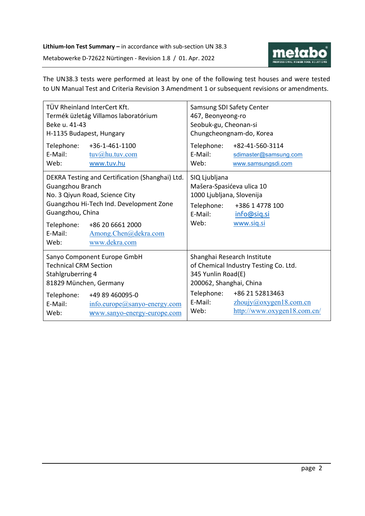

The UN38.3 tests were performed at least by one of the following test houses and were tested to UN Manual Test and Criteria Revision 3 Amendment 1 or subsequent revisions or amendments.

| Beke u. 41-43<br>H-1135 Budapest, Hungary                                                                  | TÜV Rheinland InterCert Kft.<br>Termék üzletág Villamos laboratórium                                                                                                                      | Samsung SDI Safety Center<br>467, Beonyeong-ro<br>Seobuk-gu, Cheonan-si<br>Chungcheongnam-do, Korea                   |                                                                           |  |
|------------------------------------------------------------------------------------------------------------|-------------------------------------------------------------------------------------------------------------------------------------------------------------------------------------------|-----------------------------------------------------------------------------------------------------------------------|---------------------------------------------------------------------------|--|
| Telephone:<br>E-Mail:<br>Web:                                                                              | +36-1-461-1100<br>tuv@hu.tuv.com<br>www.tuv.hu                                                                                                                                            | E-Mail:<br>Web:                                                                                                       | Telephone: +82-41-560-3114<br>sdimaster@samsung.com<br>www.samsungsdi.com |  |
| Guangzhou Branch<br>Guangzhou, China<br>Telephone:<br>E-Mail:<br>Web:                                      | DEKRA Testing and Certification (Shanghai) Ltd.<br>No. 3 Qiyun Road, Science City<br>Guangzhou Hi-Tech Ind. Development Zone<br>+86 20 6661 2000<br>Among.Chen@dekra.com<br>www.dekra.com | SIQ Ljubljana<br>Mašera-Spasićeva ulica 10<br>1000 Ljubljana, Slovenija<br>Telephone:<br>E-Mail:<br>Web:              | +386 1 4778 100<br>info@siq.si<br>www.siq.si                              |  |
| Sanyo Component Europe GmbH<br><b>Technical CRM Section</b><br>Stahlgruberring 4<br>81829 München, Germany |                                                                                                                                                                                           | Shanghai Research Institute<br>of Chemical Industry Testing Co. Ltd.<br>345 Yunlin Road(E)<br>200062, Shanghai, China |                                                                           |  |
| Telephone:<br>E-Mail:<br>Web:                                                                              | +49 89 460095-0<br>info.europe@sanyo-energy.com<br>www.sanyo-energy-europe.com                                                                                                            | Telephone:<br>E-Mail:<br>Web:                                                                                         | +86 21 52813463<br>zhoujy@oxygen18.com cn<br>http://www.oxygen18.com.cn/  |  |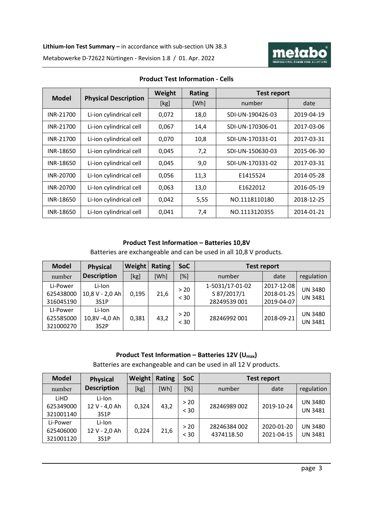

|           |                                             | Weight | <b>Rating</b> | <b>Test report</b> |            |  |
|-----------|---------------------------------------------|--------|---------------|--------------------|------------|--|
|           | <b>Physical Description</b><br><b>Model</b> |        | [Wh]          | number             | date       |  |
| INR-21700 | Li-ion cylindrical cell                     | 0,072  | 18,0          | SDI-UN-190426-03   | 2019-04-19 |  |
| INR-21700 | Li-ion cylindrical cell                     | 0,067  | 14.4          | SDI-UN-170306-01   | 2017-03-06 |  |
| INR-21700 | Li-ion cylindrical cell                     | 0,070  | 10,8          | SDI-UN-170331-01   | 2017-03-31 |  |
| INR-18650 | Li-ion cylindrical cell                     | 0,045  | 7,2           | SDI-UN-150630-03   | 2015-06-30 |  |
| INR-18650 | Li-ion cylindrical cell                     | 0,045  | 9,0           | SDI-UN-170331-02   | 2017-03-31 |  |
| INR-20700 | Li-Ion cylindrical cell                     | 0,056  | 11,3          | E1415524           | 2014-05-28 |  |
| INR-20700 | Li-Ion cylindrical cell                     | 0,063  | 13,0          | F1622012           | 2016-05-19 |  |
| INR-18650 | Li-Ion cylindrical cell                     | 0,042  | 5,55          | NO.1118110180      | 2018-12-25 |  |
| INR-18650 | Li-Ion cylindrical cell                     | 0,041  | 7,4           | NO.1113120355      | 2014-01-21 |  |

#### **Product Test Information - Cells**

# **Product Test Information – Batteries 10,8V**

Batteries are exchangeable and can be used in all 10,8 V products.

| <b>Model</b> | <b>Physical</b>    | Weight | <b>Rating</b> | SoC  | <b>Test report</b> |            |                |
|--------------|--------------------|--------|---------------|------|--------------------|------------|----------------|
| number       | <b>Description</b> | [kg]   | [Wh]          | [%]  | number             | date       | regulation     |
| Li-Power     | Li-Ion             |        |               |      | 1-5031/17-01-02    | 2017-12-08 |                |
| 625438000    | 10,8 V - 2,0 Ah    | 0,195  | 21,6          | > 20 | S 87/2017/1        | 2018-01-25 | <b>UN 3480</b> |
| 316045190    | 3S1P               |        |               | < 30 | 28249539 001       | 2019-04-07 | <b>UN 3481</b> |
| LI-Power     | Li-Ion             |        |               | > 20 |                    |            |                |
| 625585000    | 10,8V -4,0 Ah      | 0,381  | 43,2          |      | 28246992 001       | 2018-09-21 | <b>UN 3480</b> |
| 321000270    | 3S <sub>2</sub> P  |        |               | < 30 |                    |            | <b>UN 3481</b> |

# **Product Test Information – Batteries 12V (Umax)**

Batteries are exchangeable and can be used in all 12 V products.

| <b>Model</b> | <b>Physical</b>    | Weight | Rating | <b>SoC</b> | <b>Test report</b> |            |                |
|--------------|--------------------|--------|--------|------------|--------------------|------------|----------------|
| number       | <b>Description</b> | [kg]   | [Wh]   | $[\%]$     | number             | date       | regulation     |
| <b>LiHD</b>  | Li-Ion             |        |        | > 20       |                    |            | <b>UN 3480</b> |
| 625349000    | 12 V - 4,0 Ah      | 0,324  | 43,2   | < 30       | 28246989 002       | 2019-10-24 | <b>UN 3481</b> |
| 321001140    | 3S1P               |        |        |            |                    |            |                |
| Li-Power     | Li-Ion             |        |        | > 20       | 28246384 002       | 2020-01-20 | <b>UN 3480</b> |
| 625406000    | 12 V - 2,0 Ah      | 0,224  | 21,6   | < 30       | 4374118.50         | 2021-04-15 | <b>UN 3481</b> |
| 321001120    | 3S1P               |        |        |            |                    |            |                |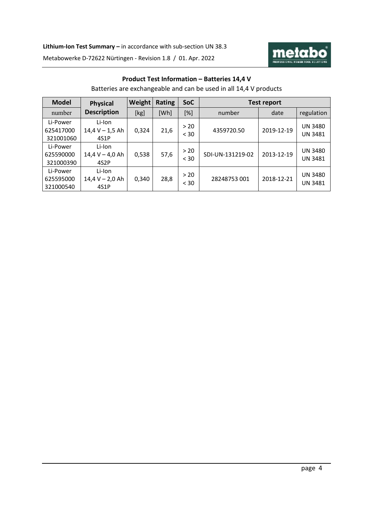

# **Product Test Information – Batteries 14,4 V**

Batteries are exchangeable and can be used in all 14,4 V products

| <b>Model</b>                       | <b>Physical</b>                                  | Weight | Rating | <b>SoC</b>     | Test report      |            |                                  |  |
|------------------------------------|--------------------------------------------------|--------|--------|----------------|------------------|------------|----------------------------------|--|
| number                             | <b>Description</b>                               | [kg]   | [Wh]   | $[\%]$         | number           | date       | regulation                       |  |
| Li-Power<br>625417000<br>321001060 | Li-Ion<br>$14,4 V - 1,5 Ah$<br>4S1P              | 0,324  | 21,6   | > 20<br>$<$ 30 | 4359720.50       | 2019-12-19 | <b>UN 3480</b><br><b>UN 3481</b> |  |
| Li-Power<br>625590000<br>321000390 | Li-Ion<br>$14,4 V - 4,0 Ah$<br>4S <sub>2</sub> P | 0,538  | 57,6   | > 20<br>$<$ 30 | SDI-UN-131219-02 | 2013-12-19 | <b>UN 3480</b><br><b>UN 3481</b> |  |
| Li-Power<br>625595000<br>321000540 | Li-Ion<br>$14,4 V - 2,0 Ah$<br>4S1P              | 0,340  | 28,8   | > 20<br>$<$ 30 | 28248753 001     | 2018-12-21 | <b>UN 3480</b><br><b>UN 3481</b> |  |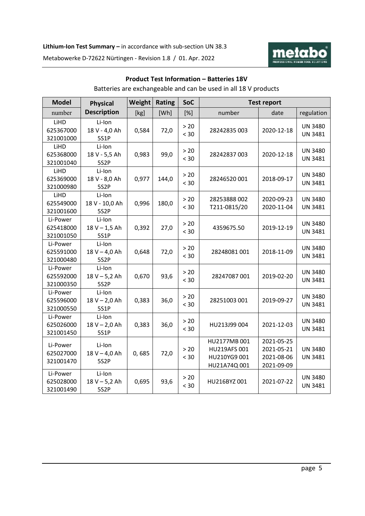

# **Product Test Information – Batteries 18V**

Batteries are exchangeable and can be used in all 18 V products

| <b>Model</b>                       | <b>Physical</b>                                | Weight | <b>Rating</b> | SoC            | <b>Test report</b>                                           |                                                      |                                  |
|------------------------------------|------------------------------------------------|--------|---------------|----------------|--------------------------------------------------------------|------------------------------------------------------|----------------------------------|
| number                             | <b>Description</b>                             | [kg]   | [Wh]          | [%]            | number                                                       | date                                                 | regulation                       |
| LiHD<br>625367000<br>321001000     | Li-Ion<br>18 V - 4,0 Ah<br>5S1P                | 0,584  | 72,0          | $>20$<br>< 30  | 28242835 003                                                 | 2020-12-18                                           | <b>UN 3480</b><br><b>UN 3481</b> |
| LiHD<br>625368000<br>321001040     | Li-Ion<br>18 V - 5,5 Ah<br>5S2P                | 0,983  | 99,0          | $>20$<br>< 30  | 28242837003                                                  | 2020-12-18                                           | <b>UN 3480</b><br><b>UN 3481</b> |
| LiHD<br>625369000<br>321000980     | Li-Ion<br>18 V - 8,0 Ah<br>5S2P                | 0,977  | 144,0         | $>20$<br>< 30  | 28246520 001                                                 | 2018-09-17                                           | <b>UN 3480</b><br><b>UN 3481</b> |
| LiHD<br>625549000<br>321001600     | Li-Ion<br>18 V - 10,0 Ah<br>5S2P               | 0,996  | 180,0         | $>20$<br>< 30  | 28253888 002<br>T211-0815/20                                 | 2020-09-23<br>2020-11-04                             | <b>UN 3480</b><br><b>UN 3481</b> |
| Li-Power<br>625418000<br>321001050 | Li-Ion<br>$18 V - 1,5 Ah$<br>5S1P              | 0,392  | 27,0          | $>20$<br>< 30  | 4359675.50                                                   | 2019-12-19                                           | <b>UN 3480</b><br><b>UN 3481</b> |
| Li-Power<br>625591000<br>321000480 | Li-Ion<br>18 V - 4,0 Ah<br>5S <sub>2</sub> P   | 0,648  | 72,0          | $> 20$<br>< 30 | 28248081001                                                  | 2018-11-09                                           | <b>UN 3480</b><br><b>UN 3481</b> |
| Li-Power<br>625592000<br>321000350 | Li-Ion<br>$18 V - 5,2 Ah$<br>5S <sub>2</sub> P | 0,670  | 93,6          | $>20$<br>< 30  | 28247087 001                                                 | 2019-02-20                                           | <b>UN 3480</b><br><b>UN 3481</b> |
| Li-Power<br>625596000<br>321000550 | Li-Ion<br>$18 V - 2,0 Ah$<br>5S1P              | 0,383  | 36,0          | $>20$<br>< 30  | 28251003 001                                                 | 2019-09-27                                           | <b>UN 3480</b><br><b>UN 3481</b> |
| Li-Power<br>625026000<br>321001450 | Li-Ion<br>$18 V - 2,0 Ah$<br>5S1P              | 0,383  | 36,0          | $>20$<br>< 30  | HU213J99 004                                                 | 2021-12-03                                           | <b>UN 3480</b><br><b>UN 3481</b> |
| Li-Power<br>625027000<br>321001470 | Li-Ion<br>18 V - 4,0 Ah<br>5S2P                | 0,685  | 72,0          | $>20$<br>< 30  | HU2177MB 001<br>HU219AFS 001<br>HU210YG9 001<br>HU21A74Q 001 | 2021-05-25<br>2021-05-21<br>2021-08-06<br>2021-09-09 | <b>UN 3480</b><br><b>UN 3481</b> |
| Li-Power<br>625028000<br>321001490 | Li-Ion<br>$18 V - 5,2 Ah$<br>5S2P              | 0,695  | 93,6          | $>20$<br>< 30  | HU216BYZ 001                                                 | 2021-07-22                                           | <b>UN 3480</b><br><b>UN 3481</b> |